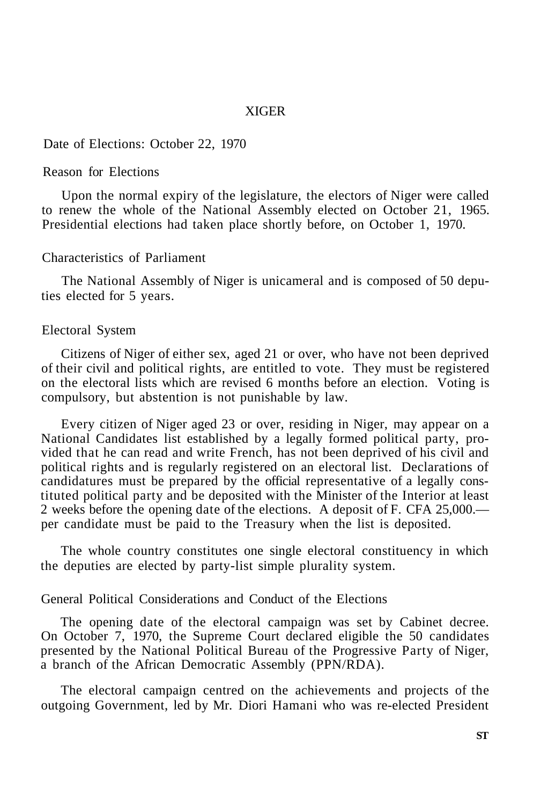### XIGER

# Date of Elections: October 22, 1970

# Reason for Elections

Upon the normal expiry of the legislature, the electors of Niger were called to renew the whole of the National Assembly elected on October 21, 1965. Presidential elections had taken place shortly before, on October 1, 1970.

### Characteristics of Parliament

The National Assembly of Niger is unicameral and is composed of 50 deputies elected for 5 years.

### Electoral System

Citizens of Niger of either sex, aged 21 or over, who have not been deprived of their civil and political rights, are entitled to vote. They must be registered on the electoral lists which are revised 6 months before an election. Voting is compulsory, but abstention is not punishable by law.

Every citizen of Niger aged 23 or over, residing in Niger, may appear on a National Candidates list established by a legally formed political party, provided that he can read and write French, has not been deprived of his civil and political rights and is regularly registered on an electoral list. Declarations of candidatures must be prepared by the official representative of a legally constituted political party and be deposited with the Minister of the Interior at least 2 weeks before the opening date of the elections. A deposit of F. CFA 25,000. per candidate must be paid to the Treasury when the list is deposited.

The whole country constitutes one single electoral constituency in which the deputies are elected by party-list simple plurality system.

# General Political Considerations and Conduct of the Elections

The opening date of the electoral campaign was set by Cabinet decree. On October 7, 1970, the Supreme Court declared eligible the 50 candidates presented by the National Political Bureau of the Progressive Party of Niger, a branch of the African Democratic Assembly (PPN/RDA).

The electoral campaign centred on the achievements and projects of the outgoing Government, led by Mr. Diori Hamani who was re-elected President